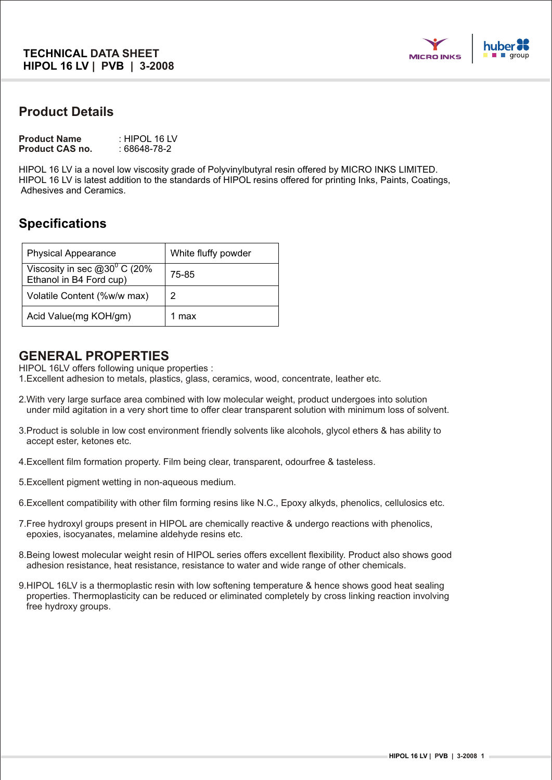

### **Product Details**

| <b>Product Name</b>    | : HIPOL 16 LV |
|------------------------|---------------|
| <b>Product CAS no.</b> | : 68648-78-2  |

HIPOL 16 LV ia a novel low viscosity grade of Polyvinylbutyral resin offered by MICRO INKS LIMITED. HIPOL 16 LV is latest addition to the standards of HIPOL resins offered for printing Inks, Paints, Coatings, Adhesives and Ceramics.

# **Specifications**

| <b>Physical Appearance</b>                                 | White fluffy powder |
|------------------------------------------------------------|---------------------|
| Viscosity in sec $@30°$ C (20%)<br>Ethanol in B4 Ford cup) | 75-85               |
| Volatile Content (%w/w max)                                | 2                   |
| Acid Value(mg KOH/gm)                                      | 1 max               |

#### **GENERAL PROPERTIES**

HIPOL 16LV offers following unique properties :

1.Excellent adhesion to metals, plastics, glass, ceramics, wood, concentrate, leather etc.

- 2.With very large surface area combined with low molecular weight, product undergoes into solution under mild agitation in a very short time to offer clear transparent solution with minimum loss of solvent.
- 3.Product is soluble in low cost environment friendly solvents like alcohols, glycol ethers & has ability to accept ester, ketones etc.
- 4.Excellent film formation property. Film being clear, transparent, odourfree & tasteless.
- 5.Excellent pigment wetting in non-aqueous medium.
- 6.Excellent compatibility with other film forming resins like N.C., Epoxy alkyds, phenolics, cellulosics etc.
- 7.Free hydroxyl groups present in HIPOL are chemically reactive & undergo reactions with phenolics, epoxies, isocyanates, melamine aldehyde resins etc.
- 8.Being lowest molecular weight resin of HIPOL series offers excellent flexibility. Product also shows good adhesion resistance, heat resistance, resistance to water and wide range of other chemicals.
- 9.HIPOL 16LV is a thermoplastic resin with low softening temperature & hence shows good heat sealing properties. Thermoplasticity can be reduced or eliminated completely by cross linking reaction involving free hydroxy groups.